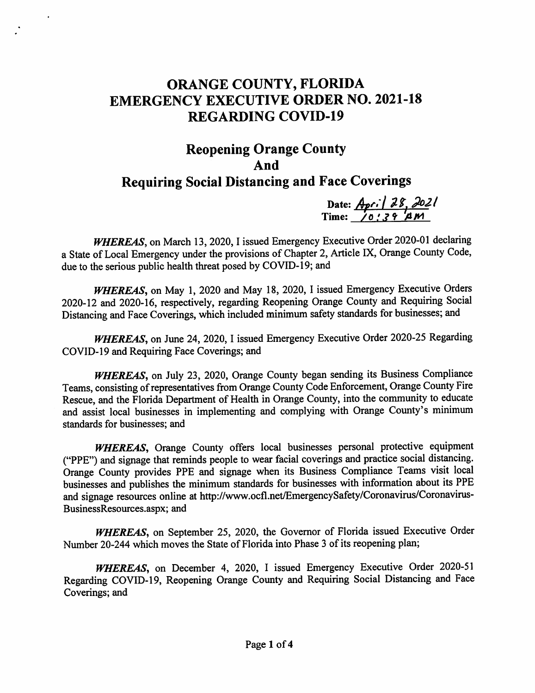## ORANGE COUNTY, FLORIDA EMERGENCY EXECUTIVE ORDER NO. 2021-18 REGARDING COVID-19

## Reopening Orange County And Requiring Social Distancing and Face Coverings

Date:  $Apc/|\partial \mathcal{E}, \partial \partial \mathcal{E}|$ Time: <u>/0 : 3 9 'A M</u>

WHEREAS, on March 13, 2020, I issued Emergency Executive Order 2020-01 declaring a State of Local Emergency under the provisions of Chapter 2, Article IX, Orange County Code, due to the serious public health threat posed by COVID-19; and

WHEREAS, on May 1, 2020 and May 18, 2020, I issued Emergency Executive Orders 2020-12 and 2020-16, respectively, regarding Reopening Orange County and Requiring Social Distancing and Face Coverings, which included minimum safety standards for businesses; and

WHEREAS, on June 24, 2020, I issued Emergency Executive Order 2020-25 Regarding COVID-19 and Requiring Face Coverings; and

WHEREAS, on July 23, 2020, Orange County began sending its Business Compliance Teams, consisting of representatives from Orange County Code Enforcement, Orange County Fire Rescue, and the Florida Department of Health in Orange County, into the community to educate and assist local businesses in implementing and complying with Orange County's minimum standards for businesses; and

WHEREAS, Orange County offers local businesses personal protective equipment ("PPE") and signage that reminds people to wear facial coverings and practice social distancing. Orange County provides PPE and signage when its Business Compliance Teams visit local businesses and publishes the minimum standards for businesses with information about its PPE and signage resources online at http://www.ocfl.net/EmergencySafety/Coronavirus/Coronavirus-BusinessResources.aspx; and

WHEREAS, on September 25, 2020, the Governor of Florida issued Executive Order Number 20-244 which moves the State of Florida into Phase 3 of its reopening plan;

WHEREAS, on December 4, 2020, I issued Emergency Executive Order 2020-51 Regarding COVID-19, Reopening Orange County and Requiring Social Distancing and Face Coverings; and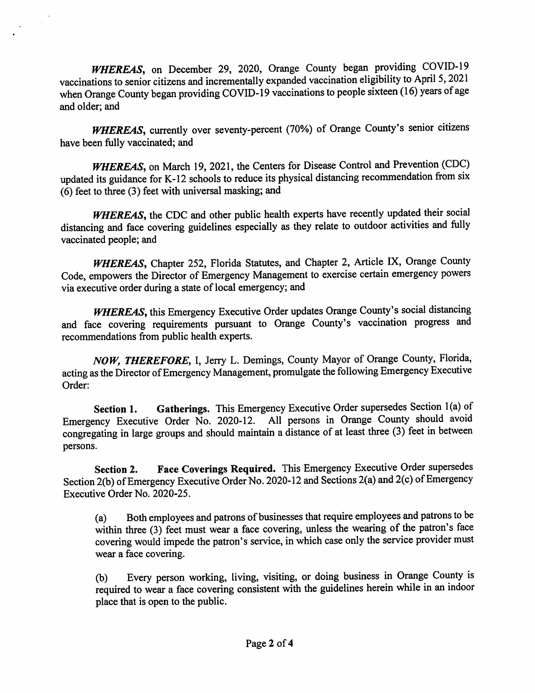WHEREAS, on December 29, 2020, Orange County began providing COVID-19 vaccinations to senior citizens and incrementally expanded vaccination eligibility to April 5, 2021 when Orange County began providing COVID-19 vaccinations to people sixteen (16) years of age and older: and

 $\mathcal{A}^{\mathcal{A}}$ 

WHEREAS, currently over seventy-percent (70%) of Orange County's senior citizens have been fully vaccinated; and

WHEREAS, on March 19, 2021, the Centers for Disease Control and Prevention (CDC) updated its guidance for K-12 schools to reduce its physical distancing recommendation from six  $(6)$  feet to three (3) feet with universal masking; and

WHEREAS, the CDC and other public health experts have recently updated their social distancing and face covering guidelines especially as they relate to outdoor activities and fully vaccinated people; and

WHEREAS, Chapter 252, Florida Statutes, and Chapter 2, Article IX, Orange County Code, empowers the Director of Emergency Management to exercise certain emergency powers via executive order during a state of local emergency; and

WHEREAS, this Emergency Executive Order updates Orange County's social distancing and face covering requirements pursuant to Orange County's vaccination progress and recommendations from public health experts.

NOW, THEREFORE, I, Jerry L. Demings, County Mayor of Orange County, Florida, acting as the Director of Emergency Management, promulgate the following Emergency Executive Order:

Gatherings. This Emergency Executive Order supersedes Section 1(a) of Section 1. Emergency Executive Order No. 2020-12. All persons in Orange County should avoid congregating in large groups and should maintain a distance of at least three (3) feet in between persons.

Face Coverings Required. This Emergency Executive Order supersedes Section 2. Section 2(b) of Emergency Executive Order No. 2020-12 and Sections 2(a) and 2(c) of Emergency Executive Order No. 2020-25.

Both employees and patrons of businesses that require employees and patrons to be  $(a)$ within three (3) feet must wear a face covering, unless the wearing of the patron's face covering would impede the patron's service, in which case only the service provider must wear a face covering.

Every person working, living, visiting, or doing business in Orange County is (b) required to wear a face covering consistent with the guidelines herein while in an indoor place that is open to the public.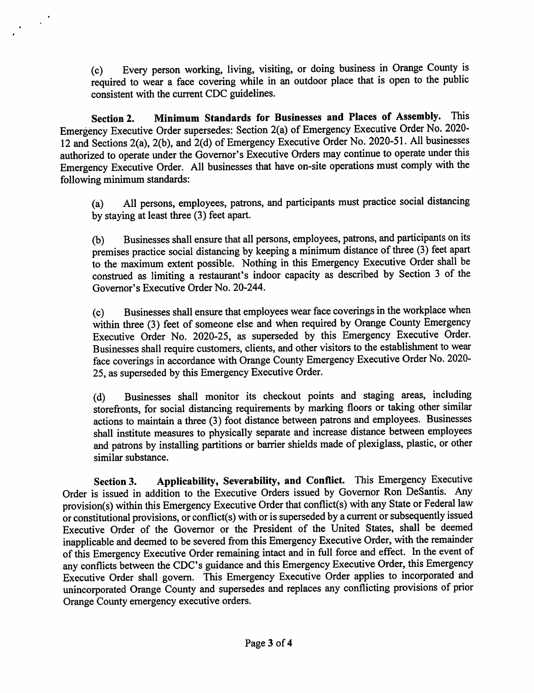Every person working, living, visiting, or doing business in Orange County is  $(c)$ required to wear a face covering while in an outdoor place that is open to the public consistent with the current CDC guidelines.

Minimum Standards for Businesses and Places of Assembly. This **Section 2.** Emergency Executive Order supersedes: Section 2(a) of Emergency Executive Order No. 2020-12 and Sections 2(a), 2(b), and 2(d) of Emergency Executive Order No. 2020-51. All businesses authorized to operate under the Governor's Executive Orders may continue to operate under this Emergency Executive Order. All businesses that have on-site operations must comply with the following minimum standards:

 $\frac{1}{2} \left( \frac{1}{2} \right)^{\frac{1}{2}}$ 

All persons, employees, patrons, and participants must practice social distancing  $(a)$ by staying at least three (3) feet apart.

Businesses shall ensure that all persons, employees, patrons, and participants on its  $(b)$ premises practice social distancing by keeping a minimum distance of three (3) feet apart to the maximum extent possible. Nothing in this Emergency Executive Order shall be construed as limiting a restaurant's indoor capacity as described by Section 3 of the Governor's Executive Order No. 20-244.

Businesses shall ensure that employees wear face coverings in the workplace when  $(c)$ within three (3) feet of someone else and when required by Orange County Emergency Executive Order No. 2020-25, as superseded by this Emergency Executive Order. Businesses shall require customers, clients, and other visitors to the establishment to wear face coverings in accordance with Orange County Emergency Executive Order No. 2020-25, as superseded by this Emergency Executive Order.

Businesses shall monitor its checkout points and staging areas, including  $(d)$ storefronts, for social distancing requirements by marking floors or taking other similar actions to maintain a three (3) foot distance between patrons and employees. Businesses shall institute measures to physically separate and increase distance between employees and patrons by installing partitions or barrier shields made of plexiglass, plastic, or other similar substance.

Applicability, Severability, and Conflict. This Emergency Executive Section 3. Order is issued in addition to the Executive Orders issued by Governor Ron DeSantis. Any provision(s) within this Emergency Executive Order that conflict(s) with any State or Federal law or constitutional provisions, or conflict(s) with or is superseded by a current or subsequently issued Executive Order of the Governor or the President of the United States, shall be deemed inapplicable and deemed to be severed from this Emergency Executive Order, with the remainder of this Emergency Executive Order remaining intact and in full force and effect. In the event of any conflicts between the CDC's guidance and this Emergency Executive Order, this Emergency Executive Order shall govern. This Emergency Executive Order applies to incorporated and unincorporated Orange County and supersedes and replaces any conflicting provisions of prior Orange County emergency executive orders.